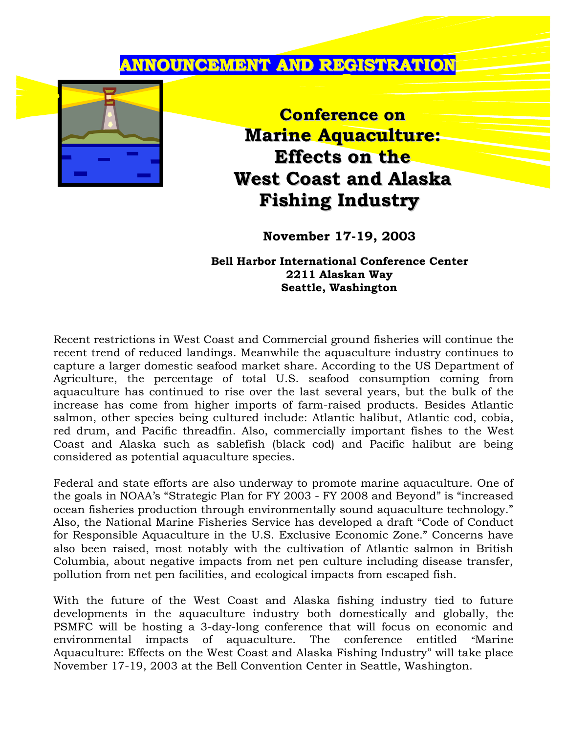## **ANNOUNCEMENT AND REGISTRATION**



**Conference on Marine Aquaculture: Effects on the West Coast and Alaska Fishing Industry**

**November 17-19, 2003**

**Bell Harbor International Conference Center 2211 Alaskan Way Seattle, Washington**

Recent restrictions in West Coast and Commercial ground fisheries will continue the recent trend of reduced landings. Meanwhile the aquaculture industry continues to capture a larger domestic seafood market share. According to the US Department of Agriculture, the percentage of total U.S. seafood consumption coming from aquaculture has continued to rise over the last several years, but the bulk of the increase has come from higher imports of farm-raised products. Besides Atlantic salmon, other species being cultured include: Atlantic halibut, Atlantic cod, cobia, red drum, and Pacific threadfin. Also, commercially important fishes to the West Coast and Alaska such as sablefish (black cod) and Pacific halibut are being considered as potential aquaculture species.

Federal and state efforts are also underway to promote marine aquaculture. One of the goals in NOAA's "Strategic Plan for FY 2003 - FY 2008 and Beyond" is "increased ocean fisheries production through environmentally sound aquaculture technology." Also, the National Marine Fisheries Service has developed a draft "Code of Conduct for Responsible Aquaculture in the U.S. Exclusive Economic Zone." Concerns have also been raised, most notably with the cultivation of Atlantic salmon in British Columbia, about negative impacts from net pen culture including disease transfer, pollution from net pen facilities, and ecological impacts from escaped fish.

With the future of the West Coast and Alaska fishing industry tied to future developments in the aquaculture industry both domestically and globally, the PSMFC will be hosting a 3-day-long conference that will focus on economic and environmental impacts of aquaculture. The conference entitled "Marine Aquaculture: Effects on the West Coast and Alaska Fishing Industry" will take place November 17-19, 2003 at the Bell Convention Center in Seattle, Washington.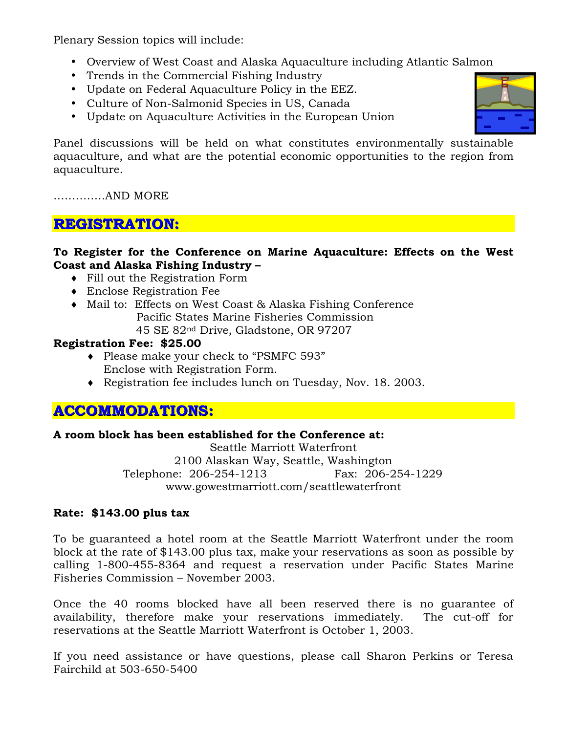Plenary Session topics will include:

- Overview of West Coast and Alaska Aquaculture including Atlantic Salmon
- Trends in the Commercial Fishing Industry
- Update on Federal Aquaculture Policy in the EEZ.
- Culture of Non-Salmonid Species in US, Canada
- Update on Aquaculture Activities in the European Union



Panel discussions will be held on what constitutes environmentally sustainable aquaculture, and what are the potential economic opportunities to the region from aquaculture.

…………..AND MORE

### **REGISTRATION:**

### **To Register for the Conference on Marine Aquaculture: Effects on the West Coast and Alaska Fishing Industry –**

- ♦ Fill out the Registration Form
- ♦ Enclose Registration Fee
- ♦ Mail to: Effects on West Coast & Alaska Fishing Conference Pacific States Marine Fisheries Commission 45 SE 82nd Drive, Gladstone, OR 97207

### **Registration Fee: \$25.00**

- ♦ Please make your check to "PSMFC 593" Enclose with Registration Form.
- ♦ Registration fee includes lunch on Tuesday, Nov. 18. 2003.

## **ACCOMMODATIONS:**

#### **A room block has been established for the Conference at:**

Seattle Marriott Waterfront 2100 Alaskan Way, Seattle, Washington Telephone: 206-254-1213 Fax: 206-254-1229 www.gowestmarriott.com/seattlewaterfront

### **Rate: \$143.00 plus tax**

To be guaranteed a hotel room at the Seattle Marriott Waterfront under the room block at the rate of \$143.00 plus tax, make your reservations as soon as possible by calling 1-800-455-8364 and request a reservation under Pacific States Marine Fisheries Commission – November 2003.

Once the 40 rooms blocked have all been reserved there is no guarantee of availability, therefore make your reservations immediately. The cut-off for reservations at the Seattle Marriott Waterfront is October 1, 2003.

If you need assistance or have questions, please call Sharon Perkins or Teresa Fairchild at 503-650-5400